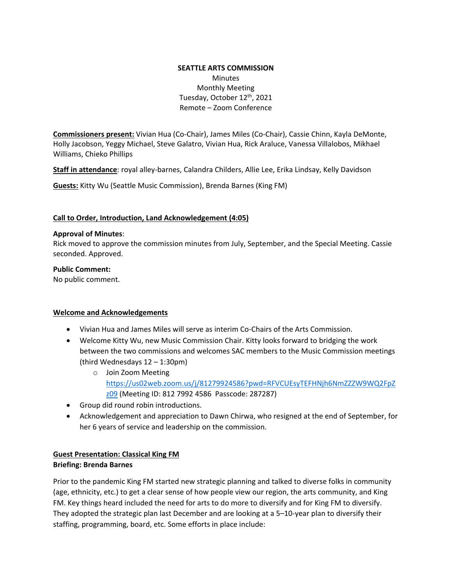### **SEATTLE ARTS COMMISSION Minutes** Monthly Meeting Tuesday, October 12<sup>th</sup>, 2021 Remote – Zoom Conference

**Commissioners present:** Vivian Hua (Co-Chair), James Miles (Co-Chair), Cassie Chinn, Kayla DeMonte, Holly Jacobson, Yeggy Michael, Steve Galatro, Vivian Hua, Rick Araluce, Vanessa Villalobos, Mikhael Williams, Chieko Phillips

**Staff in attendance**: royal alley-barnes, Calandra Childers, Allie Lee, Erika Lindsay, Kelly Davidson

**Guests:** Kitty Wu (Seattle Music Commission), Brenda Barnes (King FM)

#### **Call to Order, Introduction, Land Acknowledgement (4:05)**

#### **Approval of Minutes**:

Rick moved to approve the commission minutes from July, September, and the Special Meeting. Cassie seconded. Approved.

#### **Public Comment:**

No public comment.

### **Welcome and Acknowledgements**

- Vivian Hua and James Miles will serve as interim Co-Chairs of the Arts Commission.
- Welcome Kitty Wu, new Music Commission Chair. Kitty looks forward to bridging the work between the two commissions and welcomes SAC members to the Music Commission meetings (third Wednesdays 12 – 1:30pm)
	- o Join Zoom Meeting [https://us02web.zoom.us/j/81279924586?pwd=RFVCUEsyTEFHNjh6NmZZZW9WQ2FpZ](https://us02web.zoom.us/j/81279924586?pwd=RFVCUEsyTEFHNjh6NmZZZW9WQ2FpZz09) [z09](https://us02web.zoom.us/j/81279924586?pwd=RFVCUEsyTEFHNjh6NmZZZW9WQ2FpZz09) (Meeting ID: 812 7992 4586 Passcode: 287287)
- Group did round robin introductions.
- Acknowledgement and appreciation to Dawn Chirwa, who resigned at the end of September, for her 6 years of service and leadership on the commission.

### **Guest Presentation: Classical King FM**

### **Briefing: Brenda Barnes**

Prior to the pandemic King FM started new strategic planning and talked to diverse folks in community (age, ethnicity, etc.) to get a clear sense of how people view our region, the arts community, and King FM. Key things heard included the need for arts to do more to diversify and for King FM to diversify. They adopted the strategic plan last December and are looking at a 5–10-year plan to diversify their staffing, programming, board, etc. Some efforts in place include: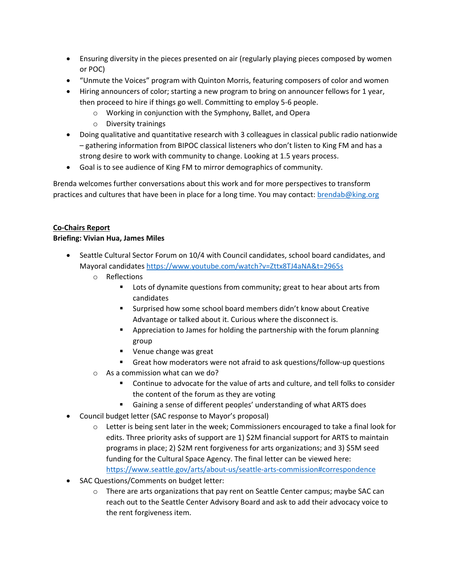- Ensuring diversity in the pieces presented on air (regularly playing pieces composed by women or POC)
- "Unmute the Voices" program with Quinton Morris, featuring composers of color and women
- Hiring announcers of color; starting a new program to bring on announcer fellows for 1 year, then proceed to hire if things go well. Committing to employ 5-6 people.
	- o Working in conjunction with the Symphony, Ballet, and Opera
	- o Diversity trainings
- Doing qualitative and quantitative research with 3 colleagues in classical public radio nationwide – gathering information from BIPOC classical listeners who don't listen to King FM and has a strong desire to work with community to change. Looking at 1.5 years process.
- Goal is to see audience of King FM to mirror demographics of community.

Brenda welcomes further conversations about this work and for more perspectives to transform practices and cultures that have been in place for a long time. You may contact: [brendab@king.org](mailto:brendab@king.org)

## **Co-Chairs Report**

### **Briefing: Vivian Hua, James Miles**

- Seattle Cultural Sector Forum on 10/4 with Council candidates, school board candidates, and Mayoral candidates <https://www.youtube.com/watch?v=Zttx8TJ4aNA&t=2965s>
	- o Reflections
		- **EXTER** Lots of dynamite questions from community; great to hear about arts from candidates
		- Surprised how some school board members didn't know about Creative Advantage or talked about it. Curious where the disconnect is.
		- Appreciation to James for holding the partnership with the forum planning group
		- Venue change was great
		- Great how moderators were not afraid to ask questions/follow-up questions
	- o As a commission what can we do?
		- Continue to advocate for the value of arts and culture, and tell folks to consider the content of the forum as they are voting
		- Gaining a sense of different peoples' understanding of what ARTS does
- Council budget letter (SAC response to Mayor's proposal)
	- $\circ$  Letter is being sent later in the week; Commissioners encouraged to take a final look for edits. Three priority asks of support are 1) \$2M financial support for ARTS to maintain programs in place; 2) \$2M rent forgiveness for arts organizations; and 3) \$5M seed funding for the Cultural Space Agency. The final letter can be viewed here: <https://www.seattle.gov/arts/about-us/seattle-arts-commission#correspondence>
- SAC Questions/Comments on budget letter:
	- $\circ$  There are arts organizations that pay rent on Seattle Center campus; maybe SAC can reach out to the Seattle Center Advisory Board and ask to add their advocacy voice to the rent forgiveness item.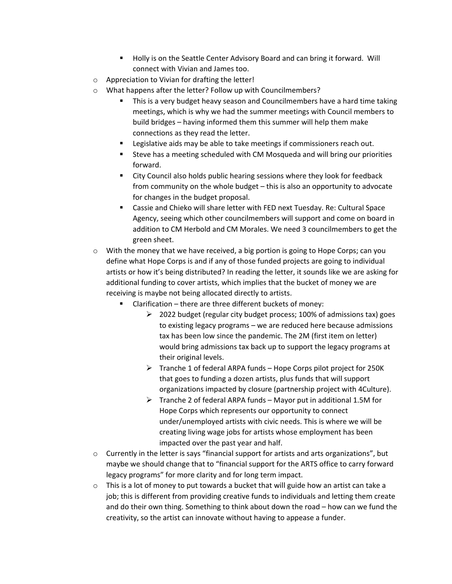- Holly is on the Seattle Center Advisory Board and can bring it forward. Will connect with Vivian and James too.
- o Appreciation to Vivian for drafting the letter!
- o What happens after the letter? Follow up with Councilmembers?
	- This is a very budget heavy season and Councilmembers have a hard time taking meetings, which is why we had the summer meetings with Council members to build bridges – having informed them this summer will help them make connections as they read the letter.
	- Legislative aids may be able to take meetings if commissioners reach out.
	- Steve has a meeting scheduled with CM Mosqueda and will bring our priorities forward.
	- City Council also holds public hearing sessions where they look for feedback from community on the whole budget – this is also an opportunity to advocate for changes in the budget proposal.
	- Cassie and Chieko will share letter with FED next Tuesday. Re: Cultural Space Agency, seeing which other councilmembers will support and come on board in addition to CM Herbold and CM Morales. We need 3 councilmembers to get the green sheet.
- $\circ$  With the money that we have received, a big portion is going to Hope Corps; can you define what Hope Corps is and if any of those funded projects are going to individual artists or how it's being distributed? In reading the letter, it sounds like we are asking for additional funding to cover artists, which implies that the bucket of money we are receiving is maybe not being allocated directly to artists.
	- Clarification there are three different buckets of money:
		- $\geq$  2022 budget (regular city budget process; 100% of admissions tax) goes to existing legacy programs – we are reduced here because admissions tax has been low since the pandemic. The 2M (first item on letter) would bring admissions tax back up to support the legacy programs at their original levels.
		- $\triangleright$  Tranche 1 of federal ARPA funds Hope Corps pilot project for 250K that goes to funding a dozen artists, plus funds that will support organizations impacted by closure (partnership project with 4Culture).
		- $\triangleright$  Tranche 2 of federal ARPA funds Mayor put in additional 1.5M for Hope Corps which represents our opportunity to connect under/unemployed artists with civic needs. This is where we will be creating living wage jobs for artists whose employment has been impacted over the past year and half.
- $\circ$  Currently in the letter is says "financial support for artists and arts organizations", but maybe we should change that to "financial support for the ARTS office to carry forward legacy programs" for more clarity and for long term impact.
- $\circ$  This is a lot of money to put towards a bucket that will guide how an artist can take a job; this is different from providing creative funds to individuals and letting them create and do their own thing. Something to think about down the road – how can we fund the creativity, so the artist can innovate without having to appease a funder.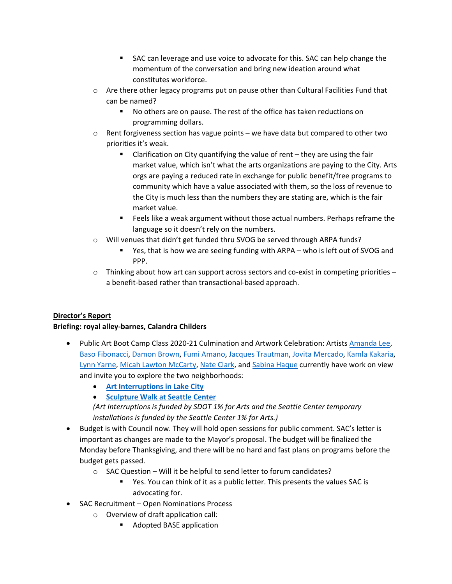- SAC can leverage and use voice to advocate for this. SAC can help change the momentum of the conversation and bring new ideation around what constitutes workforce.
- $\circ$  Are there other legacy programs put on pause other than Cultural Facilities Fund that can be named?
	- No others are on pause. The rest of the office has taken reductions on programming dollars.
- $\circ$  Rent forgiveness section has vague points we have data but compared to other two priorities it's weak.
	- Clarification on City quantifying the value of rent they are using the fair market value, which isn't what the arts organizations are paying to the City. Arts orgs are paying a reduced rate in exchange for public benefit/free programs to community which have a value associated with them, so the loss of revenue to the City is much less than the numbers they are stating are, which is the fair market value.
	- **Feels like a weak argument without those actual numbers. Perhaps reframe the** language so it doesn't rely on the numbers.
- o Will venues that didn't get funded thru SVOG be served through ARPA funds?
	- Yes, that is how we are seeing funding with ARPA who is left out of SVOG and PPP.
- $\circ$  Thinking about how art can support across sectors and co-exist in competing priorities a benefit-based rather than transactional-based approach.

# **Director's Report**

### **Briefing: royal alley-barnes, Calandra Childers**

- [Public Art Boot Camp Class 2020-21 Culmination and Artwork Celebration:](https://artbeat.seattle.gov/2021/09/13/public-art-boot-camp-class-20-21-culmination-and-artwork-celebration/?fbclid=IwAR2RgcxC1wEoMax_sS0AL16fCf7isk7TaEh0pOApEu45as91u4GeHojTNQc) Artists [Amanda](http://www.amandaleeprints.com/) Lee, [Baso Fibonacci,](https://www.instagram.com/basofibonacci/?hl=en) [Damon Brown,](https://www.instagram.com/creative_lou/) [Fumi Amano,](http://www.fumiamano.com/) [Jacques Trautman,](https://jactrautman.com/) [Jovita Mercado,](https://www.instagram.com/la_nina_del_sol__/) Kamla [Kakaria,](https://kamlakakaria.wordpress.com/) [Lynn Yarne,](https://be-nice-studio.tumblr.com/) [Micah Lawton McCarty,](https://www.instagram.com/klaowus/) Nate [Clark,](https://www.instagram.com/nateclarkoly/?hl=en) and [Sabina Haque](http://www.sabinahaque.com/) currently have work on view and invite you to explore the two neighborhoods:
	- **[Art Interruptions in Lake City](https://cosartbeat-wpengine.netdna-ssl.com/wp-content/uploads/2021/09/ArtInterruptionsSeattleCenter_MockUp-HandOut.pdf)**
	- **[Sculpture Walk at Seattle Center](http://www.seattlecenter.com/events/event-calendar/seattle-center-sculpture-walk-2021-x30291)**

*(Art Interruptions is funded by SDOT 1% for Arts and the Seattle Center temporary installations is funded by the Seattle Center 1% for Arts.)*

- Budget is with Council now. They will hold open sessions for public comment. SAC's letter is important as changes are made to the Mayor's proposal. The budget will be finalized the Monday before Thanksgiving, and there will be no hard and fast plans on programs before the budget gets passed.
	- o SAC Question Will it be helpful to send letter to forum candidates?
		- Yes. You can think of it as a public letter. This presents the values SAC is advocating for.
- SAC Recruitment Open Nominations Process
	- o Overview of draft application call:
		- Adopted BASE application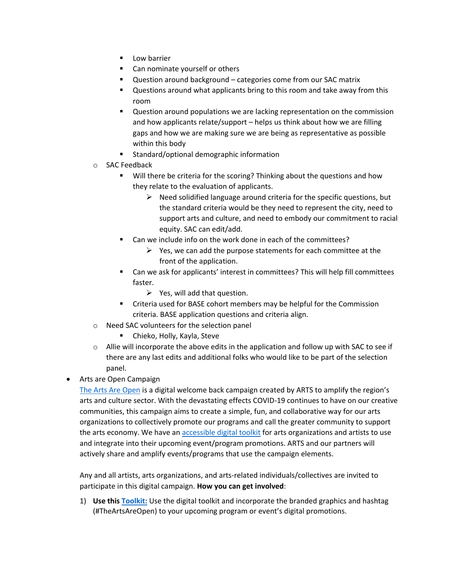- **Low barrier**
- **Can nominate yourself or others**
- Question around background categories come from our SAC matrix
- Questions around what applicants bring to this room and take away from this room
- **Question around populations we are lacking representation on the commission** and how applicants relate/support – helps us think about how we are filling gaps and how we are making sure we are being as representative as possible within this body
- **EXECUTE:** Standard/optional demographic information
- o SAC Feedback
	- **Will there be criteria for the scoring? Thinking about the questions and how** they relate to the evaluation of applicants.
		- $\triangleright$  Need solidified language around criteria for the specific questions, but the standard criteria would be they need to represent the city, need to support arts and culture, and need to embody our commitment to racial equity. SAC can edit/add.
	- Can we include info on the work done in each of the committees?
		- $\triangleright$  Yes, we can add the purpose statements for each committee at the front of the application.
	- Can we ask for applicants' interest in committees? This will help fill committees faster.
		- $\triangleright$  Yes, will add that question.
	- Criteria used for BASE cohort members may be helpful for the Commission criteria. BASE application questions and criteria align.
- o Need SAC volunteers for the selection panel
	- Chieko, Holly, Kayla, Steve
- $\circ$  Allie will incorporate the above edits in the application and follow up with SAC to see if there are any last edits and additional folks who would like to be part of the selection panel.
- Arts are Open Campaign

[The Arts Are Open](https://artbeat.seattle.gov/2021/10/04/theartsareopen/) is a digital welcome back campaign created by ARTS to amplify the region's arts and culture sector. With the devastating effects COVID-19 continues to have on our creative communities, this campaign aims to create a simple, fun, and collaborative way for our arts organizations to collectively promote our programs and call the greater community to support the arts economy. We have an [accessible digital toolkit](https://docs.google.com/document/d/1ANDVJ_tv4i04DcA2CGxtsYpnEnt9vWatdOPm1EG5OHY/edit) for arts organizations and artists to use and integrate into their upcoming event/program promotions. ARTS and our partners will actively share and amplify events/programs that use the campaign elements.

Any and all artists, arts organizations, and arts-related individuals/collectives are invited to participate in this digital campaign. **How you can get involved**:

1) **Use this [Toolkit:](https://docs.google.com/document/d/1ANDVJ_tv4i04DcA2CGxtsYpnEnt9vWatdOPm1EG5OHY/edit#heading=h.o3qcxx5u09t0)** Use the digital toolkit and incorporate the branded graphics and hashtag (#TheArtsAreOpen) to your upcoming program or event's digital promotions.